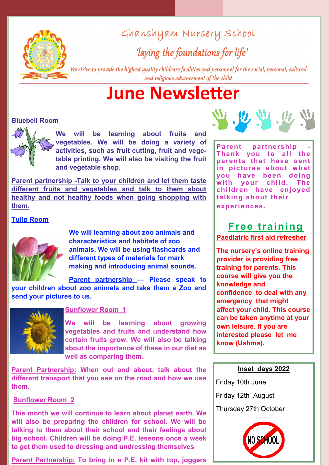

Ghanshyam Nursery School

'laying the foundations for life'

We strive to provide the highest quality childcare facilities and personnel for the social, personal, cultural and religious advancement of the child

# **June Newsletter**

# **Bluebell Room**



**We will be learning about fruits and vegetables. We will be doing a variety of activities, such as fruit cutting, fruit and vegetable printing. We will also be visiting the fruit and vegetable shop.** 

**Parent partnership -Talk to your children and let them taste different fruits and vegetables and talk to them about healthy and not healthy foods when going shopping with them.** 

# **Tulip Room**



**We will learning about zoo animals and characteristics and habitats of zoo animals. We will be using flashcards and different types of materials for mark making and introducing animal sounds.**

**Parent partnership — Please speak to your children about zoo animals and take them a Zoo and send your pictures to us.**



# **Sunflower Room 1**

**We will be learning about growing vegetables and fruits and understand how certain fruits grow. We will also be talking about the importance of these in our diet as well as comparing them.**

**Parent Partnership: When out and about, talk about the different transport that you see on the road and how we use them.**

# **Sunflower Room 2**

**This month we will continue to learn about planet earth. We will also be preparing the children for school. We will be talking to them about their school and their feelings about big school. Children will be doing P.E. lessons once a week to get them used to dressing and undressing themselves**

**Parent Partnership: To bring in a P.E. kit with top, joggers** 



**Parent partnership - Thank you to all the parents that have sent in pictures about what you have been doing with your child. The children have enjoyed talking about their experiences.**

# **Free training**

**Paediatric first aid refresher**

**The nursery's online training provider is providing free training for parents. This course will give you the knowledge and confidence to deal with any emergency that might affect your child. This course can be taken anytime at your own leisure. If you are interested please let me know (Ushma).**

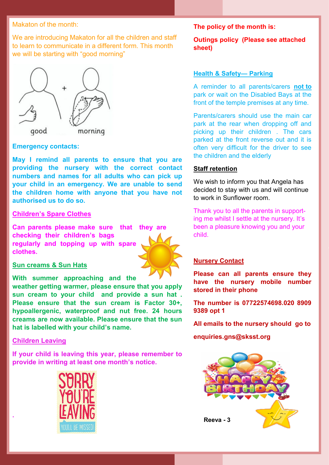#### Makaton of the month:

We are introducing Makaton for all the children and staff to learn to communicate in a different form. This month we will be starting with "good morning"



#### **Emergency contacts:**

**May I remind all parents to ensure that you are providing the nursery with the correct contact numbers and names for all adults who can pick up your child in an emergency. We are unable to send the children home with anyone that you have not authorised us to do so.**

#### **Children's Spare Clothes**

**Can parents please make sure that they are checking their children's bags regularly and topping up with spare clothes.** 



#### **Sun creams & Sun Hats**

**With summer approaching and the** 

**weather getting warmer, please ensure that you apply sun cream to your child and provide a sun hat . Please ensure that the sun cream is Factor 30+, hypoallergenic, waterproof and nut free. 24 hours creams are now available. Please ensure that the sun hat is labelled with your child's name.**

#### **Children Leaving**

**.** 

**If your child is leaving this year, please remember to provide in writing at least one month's notice.**



#### **The policy of the month is:**

**Outings policy (Please see attached sheet)**

#### **Health & Safety— Parking**

A reminder to all parents/carers **not to** park or wait on the Disabled Bays at the front of the temple premises at any time.

Parents/carers should use the main car park at the rear when dropping off and picking up their children . The cars parked at the front reverse out and it is often very difficult for the driver to see the children and the elderly

#### **Staff retention**

We wish to inform you that Angela has decided to stay with us and will continue to work in Sunflower room.

Thank you to all the parents in supporting me whilst I settle at the nursery. It's been a pleasure knowing you and your child.

#### **Nursery Contact**

**Please can all parents ensure they have the nursery mobile number stored in their phone** 

**The number is 07722574698.020 8909 9389 opt 1**

**All emails to the nursery should go to** 

**enquiries.gns@sksst.org** 

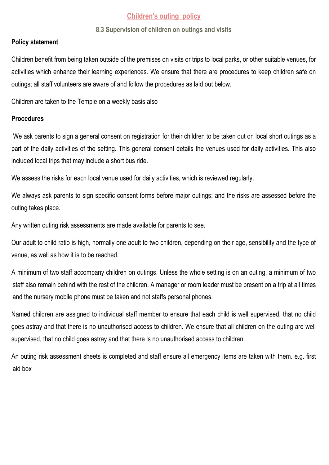# **Children's outing policy**

### **8.3 Supervision of children on outings and visits**

### **Policy statement**

Children benefit from being taken outside of the premises on visits or trips to local parks, or other suitable venues, for activities which enhance their learning experiences. We ensure that there are procedures to keep children safe on outings; all staff volunteers are aware of and follow the procedures as laid out below.

Children are taken to the Temple on a weekly basis also

## **Procedures**

We ask parents to sign a general consent on registration for their children to be taken out on local short outings as a part of the daily activities of the setting. This general consent details the venues used for daily activities. This also included local trips that may include a short bus ride.

We assess the risks for each local venue used for daily activities, which is reviewed regularly.

We always ask parents to sign specific consent forms before major outings; and the risks are assessed before the outing takes place.

Any written outing risk assessments are made available for parents to see.

Our adult to child ratio is high, normally one adult to two children, depending on their age, sensibility and the type of venue, as well as how it is to be reached.

A minimum of two staff accompany children on outings. Unless the whole setting is on an outing, a minimum of two staff also remain behind with the rest of the children. A manager or room leader must be present on a trip at all times and the nursery mobile phone must be taken and not staffs personal phones.

Named children are assigned to individual staff member to ensure that each child is well supervised, that no child goes astray and that there is no unauthorised access to children. We ensure that all children on the outing are well supervised, that no child goes astray and that there is no unauthorised access to children.

An outing risk assessment sheets is completed and staff ensure all emergency items are taken with them. e.g. first aid box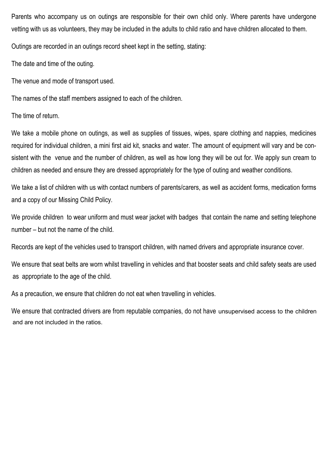Parents who accompany us on outings are responsible for their own child only. Where parents have undergone vetting with us as volunteers, they may be included in the adults to child ratio and have children allocated to them.

Outings are recorded in an outings record sheet kept in the setting, stating:

The date and time of the outing.

The venue and mode of transport used.

The names of the staff members assigned to each of the children.

The time of return.

We take a mobile phone on outings, as well as supplies of tissues, wipes, spare clothing and nappies, medicines required for individual children, a mini first aid kit, snacks and water. The amount of equipment will vary and be consistent with the venue and the number of children, as well as how long they will be out for. We apply sun cream to children as needed and ensure they are dressed appropriately for the type of outing and weather conditions.

We take a list of children with us with contact numbers of parents/carers, as well as accident forms, medication forms and a copy of our Missing Child Policy.

We provide children to wear uniform and must wear jacket with badges that contain the name and setting telephone number – but not the name of the child.

Records are kept of the vehicles used to transport children, with named drivers and appropriate insurance cover.

We ensure that seat belts are worn whilst travelling in vehicles and that booster seats and child safety seats are used as appropriate to the age of the child.

As a precaution, we ensure that children do not eat when travelling in vehicles.

We ensure that contracted drivers are from reputable companies, do not have unsupervised access to the children and are not included in the ratios.